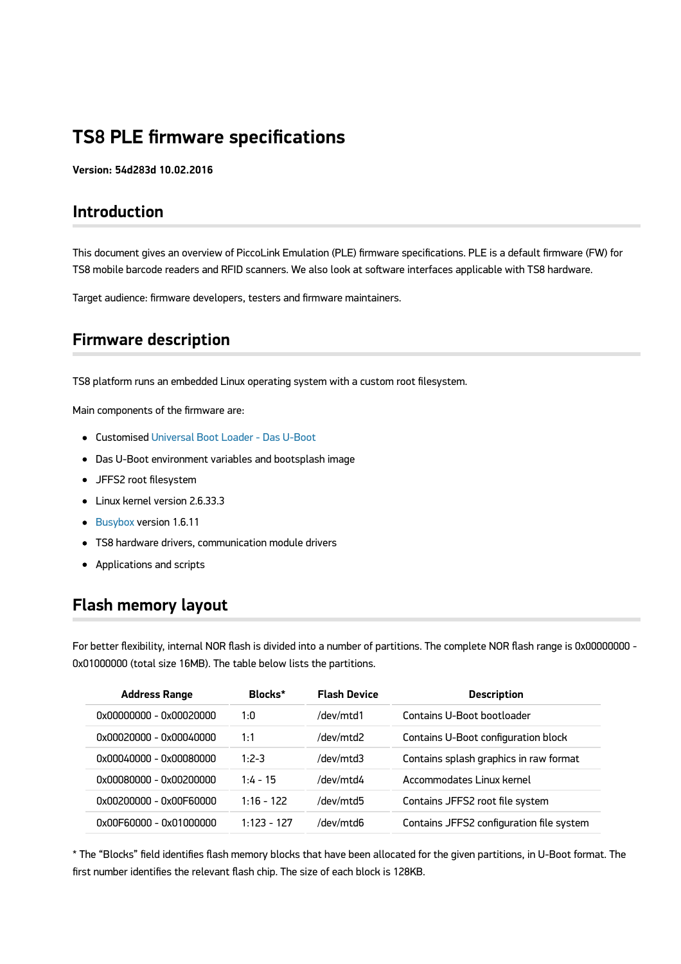# **TS8 PLE firmware specifications**

**Version: 54d283d 10.02.2016**

## **Introduction**

This document gives an overview of PiccoLink Emulation (PLE) firmware specifications. PLE is a default firmware (FW) for TS8 mobile barcode readers and RFID scanners. We also look at software interfaces applicable with TS8 hardware.

Target audience: firmware developers, testers and firmware maintainers.

## **Firmware description**

TS8 platform runs an embedded Linux operating system with a custom root filesystem.

Main components of the firmware are:

- Customised [Universal Boot Loader Das U-Boot](http://www.denx.de/wiki/U-Boot)
- Das U-Boot environment variables and bootsplash image
- JFFS2 root filesystem
- Linux kernel version 2.6.33.3
- **[Busybox](http://www.busybox.net/) version 1.6.11**
- TS8 hardware drivers, communication module drivers
- Applications and scripts

## **Flash memory layout**

For better flexibility, internal NOR flash is divided into a number of partitions. The complete NOR flash range is 0x00000000 - 0x01000000 (total size 16MB). The table below lists the partitions.

| <b>Address Range</b>     | Blocks*       | <b>Flash Device</b> | <b>Description</b>                       |
|--------------------------|---------------|---------------------|------------------------------------------|
| .0x00000000 - 0x00020000 | 1:0           | /dev/mtd1           | Contains U-Boot bootloader               |
| 0x00020000 - 0x00040000  | 1:1           | /dev/mtd2           | Contains U-Boot configuration block      |
| 0x00040000 - 0x00080000  | $1:2-3$       | /dev/mtd3           | Contains splash graphics in raw format   |
| 0x00080000 - 0x00200000  | $1.4 - 15$    | /dev/mtd4           | Accommodates Linux kernel                |
| 0x00200000 - 0x00F60000  | $1:16 - 122$  | /dev/mtd5           | Contains JFFS2 root file system          |
| 0x00F60000 - 0x01000000  | $1.123 - 127$ | /dev/mtd6           | Contains JFFS2 configuration file system |

\* The "Blocks" field identifies flash memory blocks that have been allocated for the given partitions, in U-Boot format. The first number identifies the relevant flash chip. The size of each block is 128KB.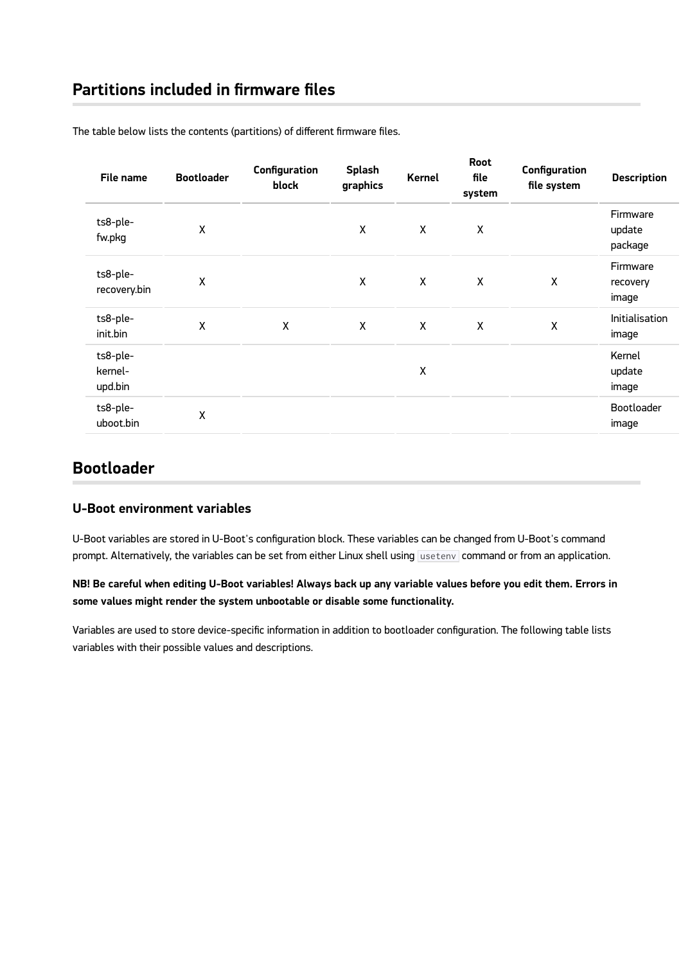| File name                      | <b>Bootloader</b> | Configuration<br>block | Splash<br>graphics | Kernel             | Root<br>file<br>system | Configuration<br>file system | <b>Description</b>            |
|--------------------------------|-------------------|------------------------|--------------------|--------------------|------------------------|------------------------------|-------------------------------|
| ts8-ple-<br>fw.pkg             | X                 |                        | X                  | X                  | X                      |                              | Firmware<br>update<br>package |
| ts8-ple-<br>recovery.bin       | χ                 |                        | X                  | X                  | X                      | X                            | Firmware<br>recovery<br>image |
| ts8-ple-<br>init.bin           | χ                 | χ                      | X                  | X                  | $\pmb{\mathsf{X}}$     | $\boldsymbol{\mathsf{X}}$    | Initialisation<br>image       |
| ts8-ple-<br>kernel-<br>upd.bin |                   |                        |                    | $\pmb{\mathsf{X}}$ |                        |                              | Kernel<br>update<br>image     |
| ts8-ple-<br>uboot.bin          | χ                 |                        |                    |                    |                        |                              | Bootloader<br>image           |

The table below lists the contents (partitions) of different firmware files.

## **Bootloader**

### **U-Boot environment variables**

U-Boot variables are stored in U-Boot's configuration block. These variables can be changed from U-Boot's command prompt. Alternatively, the variables can be set from either Linux shell using usetenv command or from an application.

## **NB! Be careful when editing U-Boot variables! Always back up any variable values before you edit them. Errors in some values might render the system unbootable or disable some functionality.**

Variables are used to store device-specific information in addition to bootloader configuration. The following table lists variables with their possible values and descriptions.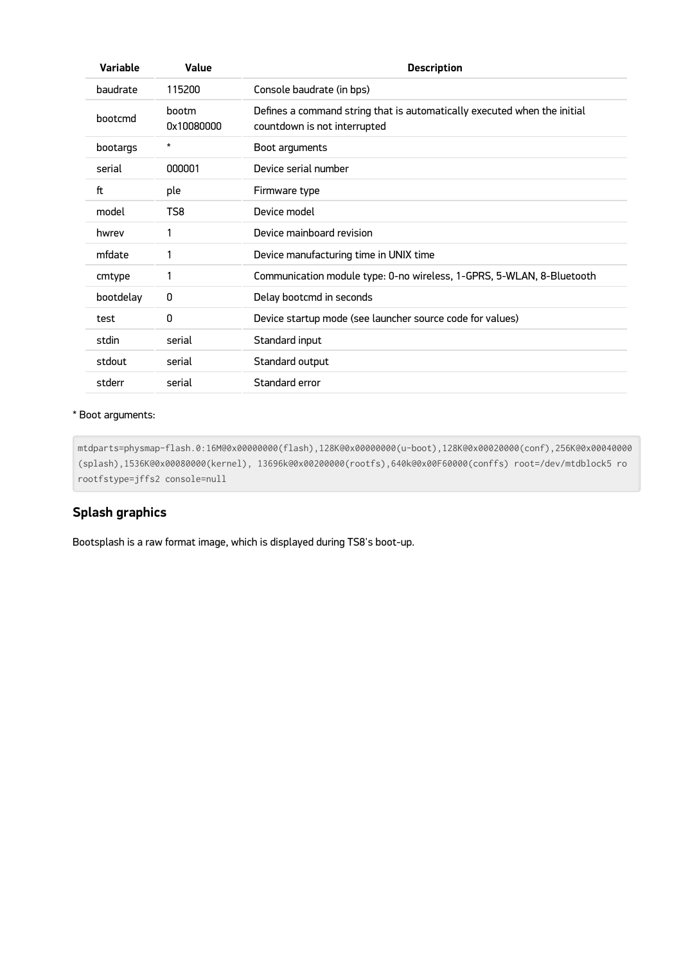| <b>Variable</b> | Value               | <b>Description</b>                                                                                       |  |
|-----------------|---------------------|----------------------------------------------------------------------------------------------------------|--|
| baudrate        | 115200              | Console baudrate (in bps)                                                                                |  |
| bootcmd         | bootm<br>0x10080000 | Defines a command string that is automatically executed when the initial<br>countdown is not interrupted |  |
| bootargs        | *                   | Boot arguments                                                                                           |  |
| serial          | 000001              | Device serial number                                                                                     |  |
| ft              | ple                 | Firmware type                                                                                            |  |
| model           | TS8                 | Device model                                                                                             |  |
| hwrev           |                     | Device mainboard revision                                                                                |  |
| mfdate          |                     | Device manufacturing time in UNIX time                                                                   |  |
| cmtype          | 1                   | Communication module type: 0-no wireless, 1-GPRS, 5-WLAN, 8-Bluetooth                                    |  |
| bootdelay       | 0                   | Delay bootcmd in seconds                                                                                 |  |
| test            | $\Omega$            | Device startup mode (see launcher source code for values)                                                |  |
| stdin           | serial              | Standard input                                                                                           |  |
| stdout          | serial              | Standard output                                                                                          |  |
| stderr          | serial              | Standard error                                                                                           |  |

### \* Boot arguments:

mtdparts=physmap-flash.0:16M@0x00000000(flash),128K@0x00000000(u-boot),128K@0x00020000(conf),256K@0x00040000 (splash),1536K@0x00080000(kernel), 13696k@0x00200000(rootfs),640k@0x00F60000(conffs) root=/dev/mtdblock5 ro rootfstype=jffs2 console=null

## **Splash graphics**

Bootsplash is a raw format image, which is displayed during TS8's boot-up.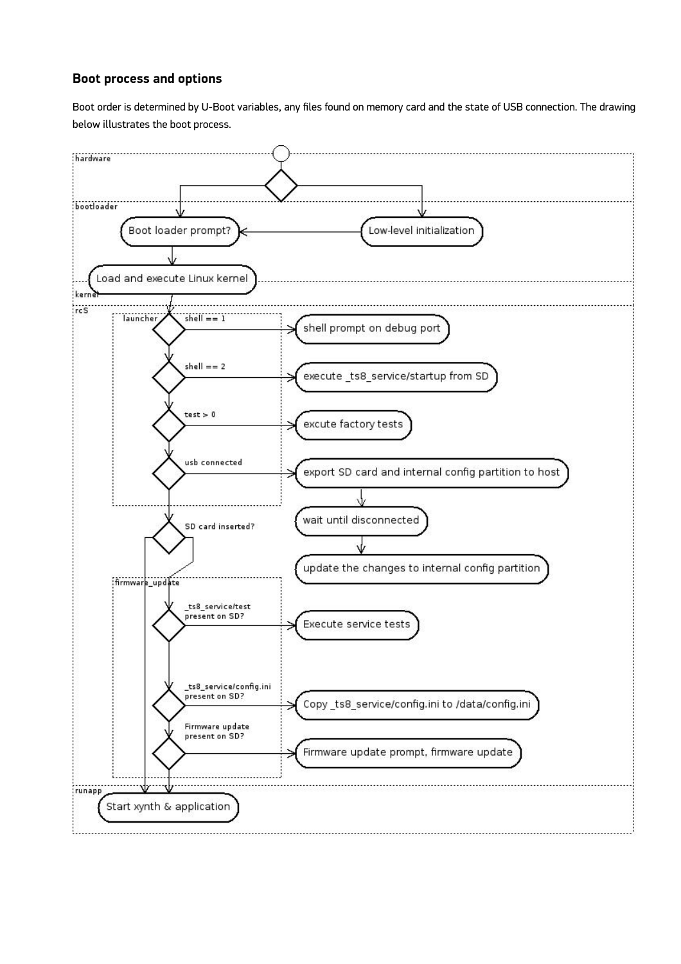## **Boot process and options**

Boot order is determined by U-Boot variables, any files found on memory card and the state of USB connection. The drawing below illustrates the boot process.

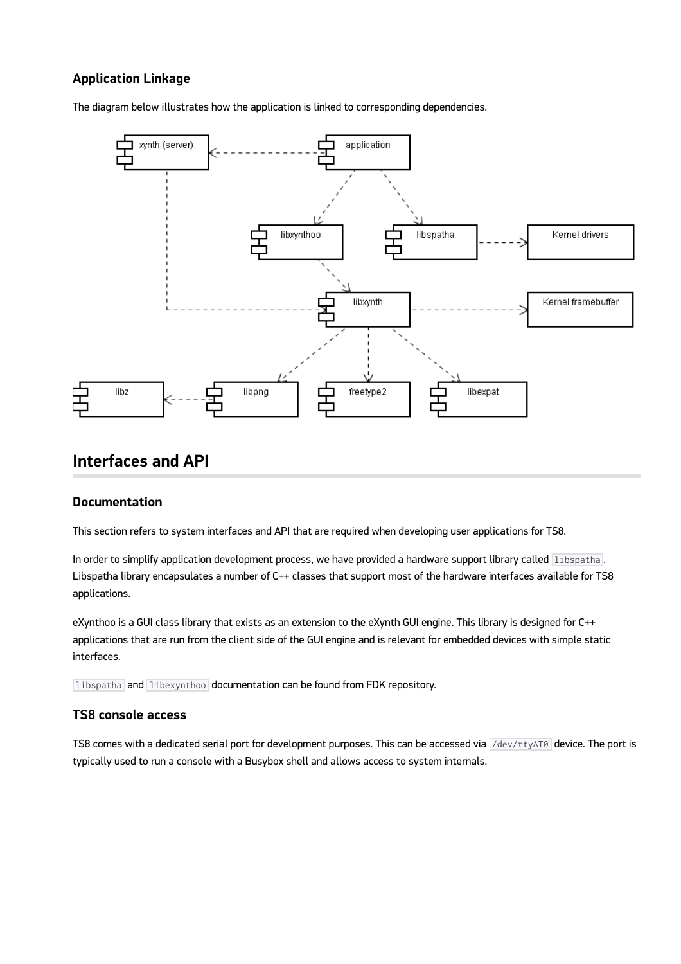## **Application Linkage**

The diagram below illustrates how the application is linked to corresponding dependencies.



## **Interfaces and API**

### **Documentation**

This section refers to system interfaces and API that are required when developing user applications for TS8.

In order to simplify application development process, we have provided a hardware support library called libspatha. Libspatha library encapsulates a number of C++ classes that support most of the hardware interfaces available for TS8 applications.

eXynthoo is a GUI class library that exists as an extension to the eXynth GUI engine. This library is designed for C++ applications that are run from the client side of the GUI engine and is relevant for embedded devices with simple static interfaces.

libspatha and libexynthoo documentation can be found from FDK repository.

## **TS8 console access**

TS8 comes with a dedicated serial port for development purposes. This can be accessed via /dev/ttyAT0 device. The port is typically used to run a console with a Busybox shell and allows access to system internals.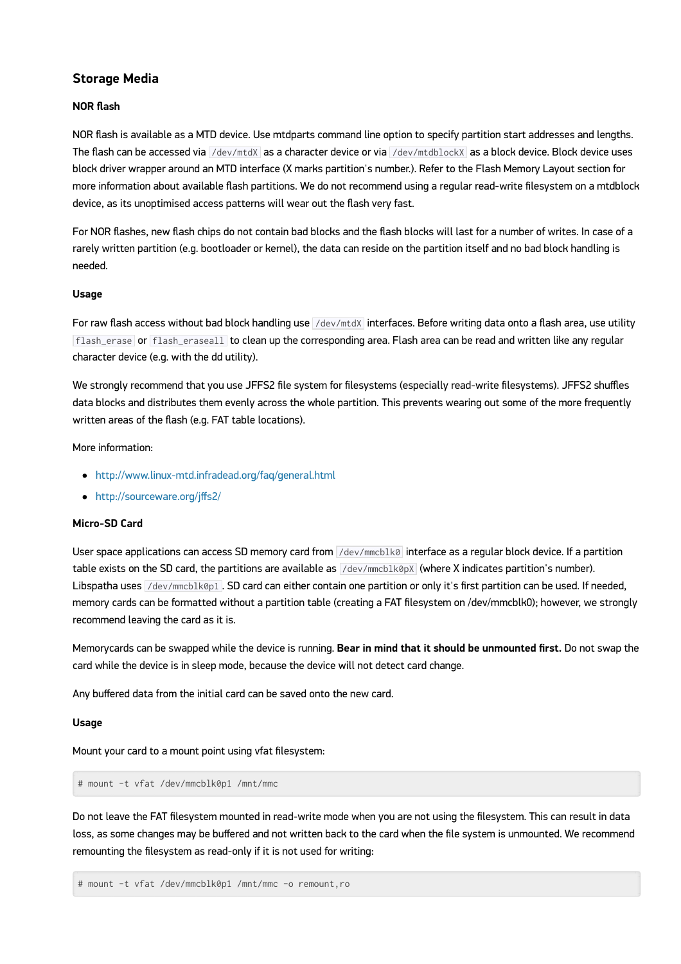## **Storage Media**

#### **NOR flash**

NOR flash is available as a MTD device. Use mtdparts command line option to specify partition start addresses and lengths. The flash can be accessed via  $\sqrt{dev/mtdX}$  as a character device or via  $\sqrt{dev/mtdblockx}$  as a block device. Block device uses block driver wrapper around an MTD interface (X marks partition's number.). Refer to the Flash Memory Layout section for more information about available flash partitions. We do not recommend using a regular read-write filesystem on a mtdblock device, as its unoptimised access patterns will wear out the flash very fast.

For NOR flashes, new flash chips do not contain bad blocks and the flash blocks will last for a number of writes. In case of a rarely written partition (e.g. bootloader or kernel), the data can reside on the partition itself and no bad block handling is needed.

#### **Usage**

For raw flash access without bad block handling use  $\sqrt{$ dev/mtdX interfaces. Before writing data onto a flash area, use utility flash\_erase or flash\_eraseall to clean up the corresponding area. Flash area can be read and written like any regular character device (e.g. with the dd utility).

We strongly recommend that you use JFFS2 file system for filesystems (especially read-write filesystems). JFFS2 shuffles data blocks and distributes them evenly across the whole partition. This prevents wearing out some of the more frequently written areas of the flash (e.g. FAT table locations).

More information:

- <http://www.linux-mtd.infradead.org/faq/general.html>
- [http://sourceware.org/j](http://sourceware.org/jffs2/)ffs2/

#### **Micro-SD Card**

User space applications can access SD memory card from /dev/mmcblk0 interface as a regular block device. If a partition table exists on the SD card, the partitions are available as  $/dev/mmcblk@px$  (where X indicates partition's number). Libspatha uses /dev/mmcblk0p1. SD card can either contain one partition or only it's first partition can be used. If needed, memory cards can be formatted without a partition table (creating a FAT filesystem on /dev/mmcblk0); however, we strongly recommend leaving the card as it is.

Memorycards can be swapped while the device is running. **Bear in mind that it should be unmounted first.** Do not swap the card while the device is in sleep mode, because the device will not detect card change.

Any buffered data from the initial card can be saved onto the new card.

#### **Usage**

Mount your card to a mount point using vfat filesystem:

# mount -t vfat /dev/mmcblk0p1 /mnt/mmc

Do not leave the FAT filesystem mounted in read-write mode when you are not using the filesystem. This can result in data loss, as some changes may be buffered and not written back to the card when the file system is unmounted. We recommend remounting the filesystem as read-only if it is not used for writing:

```
# mount -t vfat /dev/mmcblk0p1 /mnt/mmc -o remount,ro
```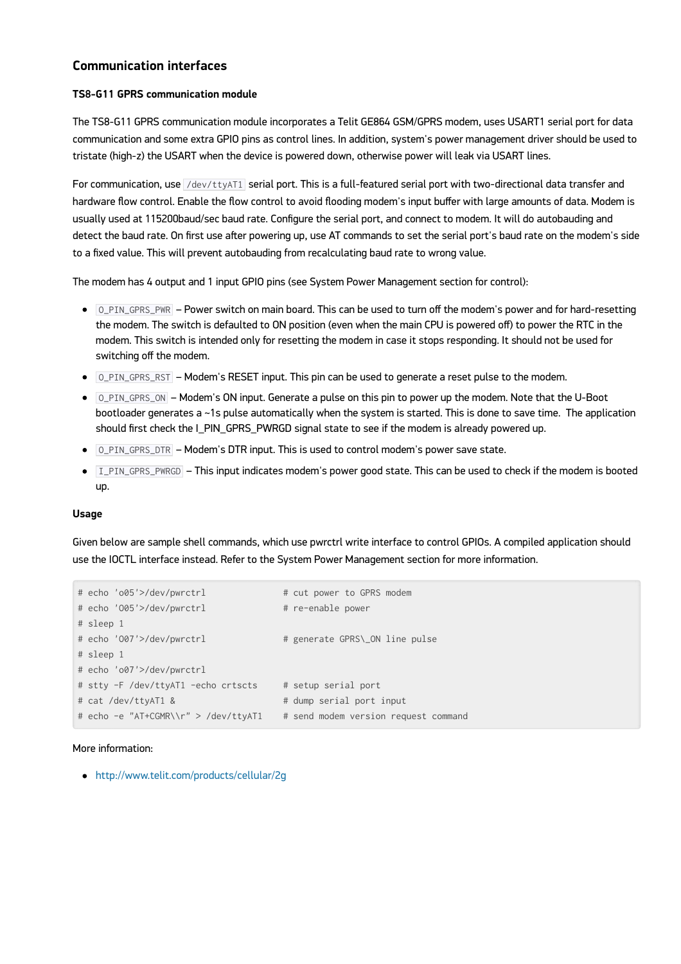## **Communication interfaces**

#### **TS8-G11 GPRS communication module**

The TS8-G11 GPRS communication module incorporates a Telit GE864 GSM/GPRS modem, uses USART1 serial port for data communication and some extra GPIO pins as control lines. In addition, system's power management driver should be used to tristate (high-z) the USART when the device is powered down, otherwise power will leak via USART lines.

For communication, use  $7$ dev/ttyAT1 serial port. This is a full-featured serial port with two-directional data transfer and hardware flow control. Enable the flow control to avoid flooding modem's input buffer with large amounts of data. Modem is usually used at 115200baud/sec baud rate. Configure the serial port, and connect to modem. It will do autobauding and detect the baud rate. On first use after powering up, use AT commands to set the serial port's baud rate on the modem's side to a fixed value. This will prevent autobauding from recalculating baud rate to wrong value.

The modem has 4 output and 1 input GPIO pins (see System Power Management section for control):

- O\_PIN\_GPRS\_PWR Power switch on main board. This can be used to turn off the modem's power and for hard-resetting the modem. The switch is defaulted to ON position (even when the main CPU is powered off) to power the RTC in the modem. This switch is intended only for resetting the modem in case it stops responding. It should not be used for switching off the modem.
- O\_PIN\_GPRS\_RST Modem's RESET input. This pin can be used to generate a reset pulse to the modem.
- $\bullet$  0 PIN GPRS ON Modem's ON input. Generate a pulse on this pin to power up the modem. Note that the U-Boot bootloader generates a ~1s pulse automatically when the system is started. This is done to save time. The application should first check the I\_PIN\_GPRS\_PWRGD signal state to see if the modem is already powered up.
- $\bullet$  0 PIN GPRS DTR Modem's DTR input. This is used to control modem's power save state.
- $\bullet$  I\_PIN\_GPRS\_PWRGD This input indicates modem's power good state. This can be used to check if the modem is booted up.

#### **Usage**

Given below are sample shell commands, which use pwrctrl write interface to control GPIOs. A compiled application should use the IOCTL interface instead. Refer to the System Power Management section for more information.

| # echo 'o05'>/dev/pwrctrl            | # cut power to GPRS modem            |
|--------------------------------------|--------------------------------------|
| # echo '005'>/dev/pwrctrl            | # re-enable power                    |
| # sleep 1                            |                                      |
| # echo '007'>/dev/pwrctrl            | # generate GPRS\_ON line pulse       |
| # sleep 1                            |                                      |
| # echo 'o07'>/dev/pwrctrl            |                                      |
| # stty -F /dev/ttyAT1 -echo crtscts  | # setup serial port                  |
| # cat /dev/ttyAT1 &                  | # dump serial port input             |
| # echo -e "AT+CGMR\\r" > /dev/ttyAT1 | # send modem version request command |

#### More information:

<http://www.telit.com/products/cellular/2g>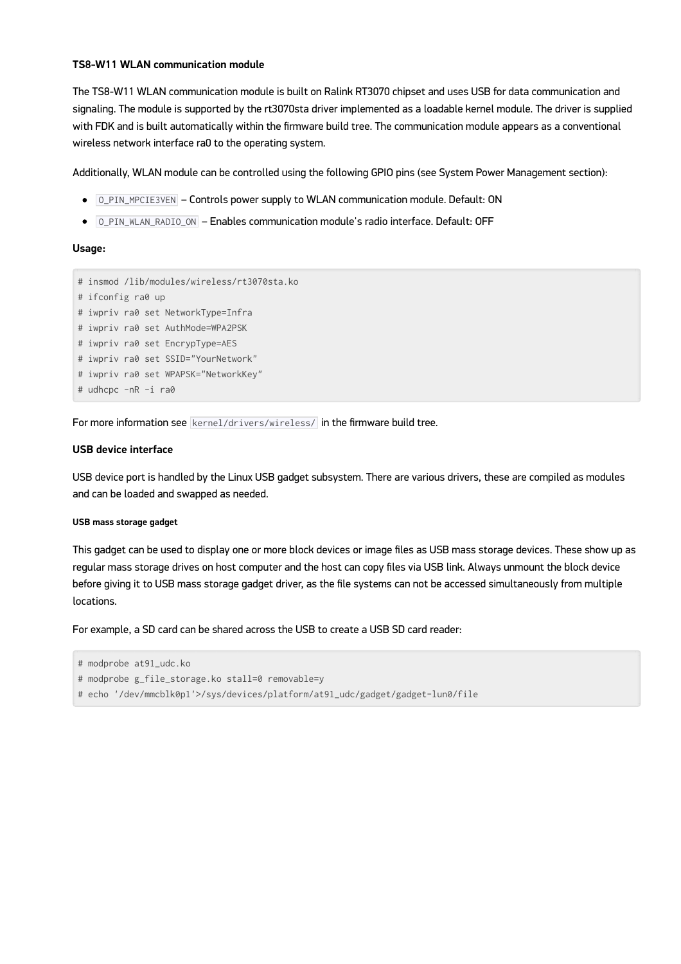#### **TS8-W11 WLAN communication module**

The TS8-W11 WLAN communication module is built on Ralink RT3070 chipset and uses USB for data communication and signaling. The module is supported by the rt3070sta driver implemented as a loadable kernel module. The driver is supplied with FDK and is built automatically within the firmware build tree. The communication module appears as a conventional wireless network interface ra0 to the operating system.

Additionally, WLAN module can be controlled using the following GPIO pins (see System Power Management section):

- $\circ$  0\_PIN\_MPCIE3VEN Controls power supply to WLAN communication module. Default: ON
- O\_PIN\_WLAN\_RADIO\_ON Enables communication module's radio interface. Default: OFF

#### **Usage:**



For more information see kernel/drivers/wireless/ in the firmware build tree.

#### **USB device interface**

USB device port is handled by the Linux USB gadget subsystem. There are various drivers, these are compiled as modules and can be loaded and swapped as needed.

#### **USB mass storage gadget**

This gadget can be used to display one or more block devices or image files as USB mass storage devices. These show up as regular mass storage drives on host computer and the host can copy files via USB link. Always unmount the block device before giving it to USB mass storage gadget driver, as the file systems can not be accessed simultaneously from multiple locations.

For example, a SD card can be shared across the USB to create a USB SD card reader:

```
# modprobe at91_udc.ko
# modprobe g_file_storage.ko stall=0 removable=y
# echo '/dev/mmcblk0p1'>/sys/devices/platform/at91_udc/gadget/gadget-lun0/file
```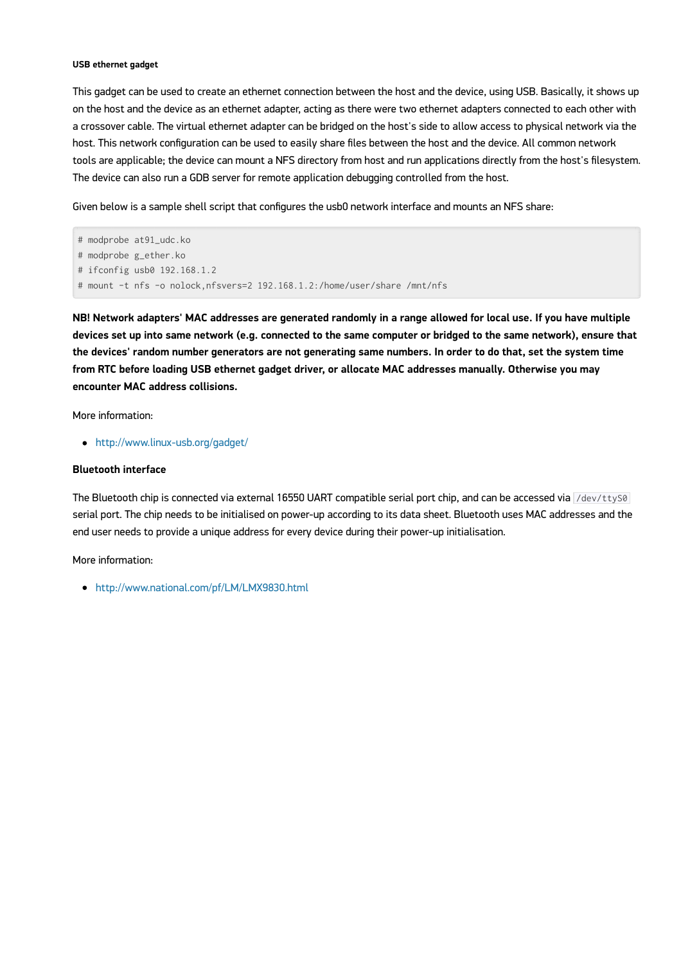#### **USB ethernet gadget**

This gadget can be used to create an ethernet connection between the host and the device, using USB. Basically, it shows up on the host and the device as an ethernet adapter, acting as there were two ethernet adapters connected to each other with a crossover cable. The virtual ethernet adapter can be bridged on the host's side to allow access to physical network via the host. This network configuration can be used to easily share files between the host and the device. All common network tools are applicable; the device can mount a NFS directory from host and run applications directly from the host's filesystem. The device can also run a GDB server for remote application debugging controlled from the host.

Given below is a sample shell script that configures the usb0 network interface and mounts an NFS share:

```
# modprobe at91_udc.ko
# modprobe g_ether.ko
# ifconfig usb0 192.168.1.2
# mount -t nfs -o nolock,nfsvers=2 192.168.1.2:/home/user/share /mnt/nfs
```
**NB! Network adapters' MAC addresses are generated randomly in a range allowed for local use. If you have multiple devices set up into same network (e.g. connected to the same computer or bridged to the same network), ensure that the devices' random number generators are not generating same numbers. In order to do that, set the system time from RTC before loading USB ethernet gadget driver, or allocate MAC addresses manually. Otherwise you may encounter MAC address collisions.**

More information:

<http://www.linux-usb.org/gadget/>

#### **Bluetooth interface**

The Bluetooth chip is connected via external 16550 UART compatible serial port chip, and can be accessed via /dev/ttyS0 serial port. The chip needs to be initialised on power-up according to its data sheet. Bluetooth uses MAC addresses and the end user needs to provide a unique address for every device during their power-up initialisation.

More information:

<http://www.national.com/pf/LM/LMX9830.html>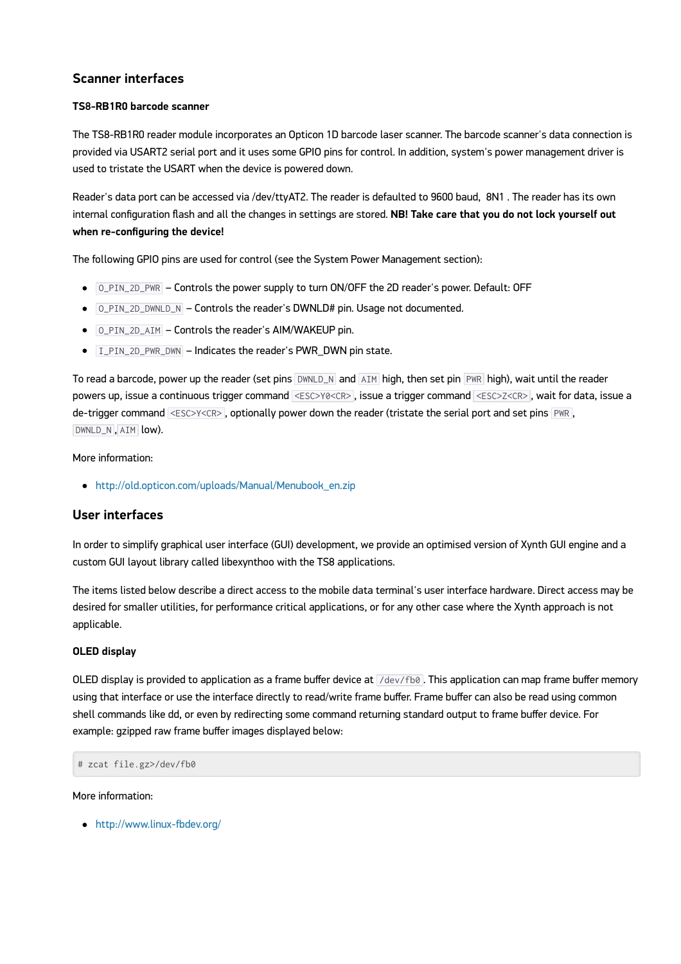## **Scanner interfaces**

#### **TS8-RB1R0 barcode scanner**

The TS8-RB1R0 reader module incorporates an Opticon 1D barcode laser scanner. The barcode scanner's data connection is provided via USART2 serial port and it uses some GPIO pins for control. In addition, system's power management driver is used to tristate the USART when the device is powered down.

Reader's data port can be accessed via /dev/ttyAT2. The reader is defaulted to 9600 baud, 8N1 . The reader has its own internal configuration flash and all the changes in settings are stored. **NB! Take care that you do not lock yourself out when re-configuring the device!**

The following GPIO pins are used for control (see the System Power Management section):

- O\_PIN\_2D\_PWR Controls the power supply to turn ON/OFF the 2D reader's power. Default: OFF
- $\bullet$   $\overline{O_PIN_2D_DWNLD_N}$  Controls the reader's DWNLD# pin. Usage not documented.
- O\_PIN\_2D\_AIM Controls the reader's AIM/WAKEUP pin.
- $\bullet$   $I_PIN_2D_PWR_DWN$  Indicates the reader's PWR\_DWN pin state.

To read a barcode, power up the reader (set pins DWNLD\_N and AIM high, then set pin PWR high), wait until the reader powers up, issue a continuous trigger command <ESC>Y0<CR> , issue a trigger command <ESC>Z<CR> , wait for data, issue a de-trigger command <ESC>Y<CR>, optionally power down the reader (tristate the serial port and set pins PWR, DWNLD\_N , AIM low).

More information:

[http://old.opticon.com/uploads/Manual/Menubook\\_en.zip](http://old.opticon.com/uploads/Manual/Menubook_en.zip)

### **User interfaces**

In order to simplify graphical user interface (GUI) development, we provide an optimised version of Xynth GUI engine and a custom GUI layout library called libexynthoo with the TS8 applications.

The items listed below describe a direct access to the mobile data terminal's user interface hardware. Direct access may be desired for smaller utilities, for performance critical applications, or for any other case where the Xynth approach is not applicable.

#### **OLED display**

OLED display is provided to application as a frame buffer device at  $\sqrt{\frac{1}{100}}$ . This application can map frame buffer memory using that interface or use the interface directly to read/write frame buffer. Frame buffer can also be read using common shell commands like dd, or even by redirecting some command returning standard output to frame buffer device. For example: gzipped raw frame buffer images displayed below:

# zcat file.gz>/dev/fb0

More information:

<http://www.linux-fbdev.org/>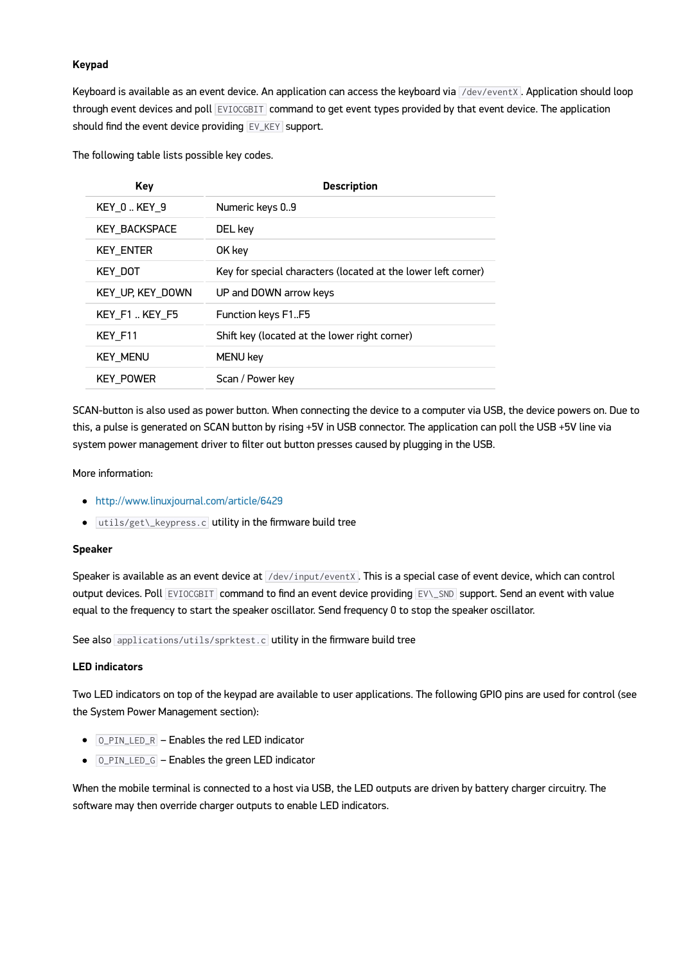#### **Keypad**

Keyboard is available as an event device. An application can access the keyboard via /dev/eventX. Application should loop through event devices and poll EVIOCGBIT command to get event types provided by that event device. The application should find the event device providing  $EVALVET$  support.

The following table lists possible key codes.

| Key                  | <b>Description</b>                                            |
|----------------------|---------------------------------------------------------------|
| KEY 0.KEY 9          | Numeric keys 09                                               |
| <b>KEY BACKSPACE</b> | DEL key                                                       |
| <b>KEY ENTER</b>     | OK key                                                        |
| KEY DOT              | Key for special characters (located at the lower left corner) |
| KEY UP, KEY DOWN     | UP and DOWN arrow keys                                        |
| KEY F1  KEY F5       | <b>Function keys F1F5</b>                                     |
| KEY_F11              | Shift key (located at the lower right corner)                 |
| <b>KEY MENU</b>      | MENU key                                                      |
| <b>KEY POWER</b>     | Scan / Power key                                              |

SCAN-button is also used as power button. When connecting the device to a computer via USB, the device powers on. Due to this, a pulse is generated on SCAN button by rising +5V in USB connector. The application can poll the USB +5V line via system power management driver to filter out button presses caused by plugging in the USB.

More information:

- <http://www.linuxjournal.com/article/6429>
- utils/get\\_keypress.c utility in the firmware build tree

#### **Speaker**

Speaker is available as an event device at /dev/input/eventX. This is a special case of event device, which can control output devices. Poll EVIOCGBIT command to find an event device providing EV\\_SND support. Send an event with value equal to the frequency to start the speaker oscillator. Send frequency 0 to stop the speaker oscillator.

See also applications/utils/sprktest.c utility in the firmware build tree

#### **LED indicators**

Two LED indicators on top of the keypad are available to user applications. The following GPIO pins are used for control (see the System Power Management section):

- $\bullet$   $\overline{O\_PIN\_LED\_R}$  Enables the red LED indicator
- O\_PIN\_LED\_G Enables the green LED indicator

When the mobile terminal is connected to a host via USB, the LED outputs are driven by battery charger circuitry. The software may then override charger outputs to enable LED indicators.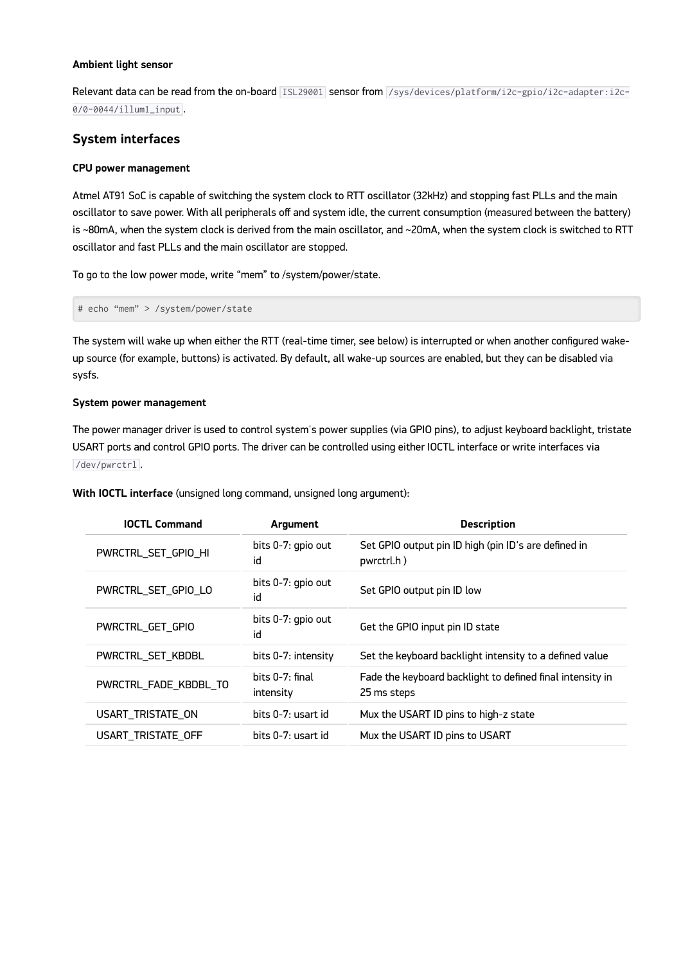#### **Ambient light sensor**

Relevant data can be read from the on-board ISL29001 sensor from /sys/devices/platform/i2c-gpio/i2c-adapter:i2c-0/0-0044/illum1\_input .

## **System interfaces**

#### **CPU power management**

Atmel AT91 SoC is capable of switching the system clock to RTT oscillator (32kHz) and stopping fast PLLs and the main oscillator to save power. With all peripherals off and system idle, the current consumption (measured between the battery) is ~80mA, when the system clock is derived from the main oscillator, and ~20mA, when the system clock is switched to RTT oscillator and fast PLLs and the main oscillator are stopped.

To go to the low power mode, write "mem" to /system/power/state.

# echo "mem" > /system/power/state

The system will wake up when either the RTT (real-time timer, see below) is interrupted or when another configured wakeup source (for example, buttons) is activated. By default, all wake-up sources are enabled, but they can be disabled via sysfs.

#### **System power management**

The power manager driver is used to control system's power supplies (via GPIO pins), to adjust keyboard backlight, tristate USART ports and control GPIO ports. The driver can be controlled using either IOCTL interface or write interfaces via /dev/pwrctrl .

**With IOCTL interface** (unsigned long command, unsigned long argument):

| <b>IOCTL Command</b>  | Argument                     | <b>Description</b>                                                       |
|-----------------------|------------------------------|--------------------------------------------------------------------------|
| PWRCTRL_SET_GPIO_HI   | bits 0-7: gpio out<br>id     | Set GPIO output pin ID high (pin ID's are defined in<br>pwrctrl.h)       |
| PWRCTRL_SET_GPIO_LO   | bits 0-7: gpio out<br>id     | Set GPIO output pin ID low                                               |
| PWRCTRL_GET_GPIO      | bits 0-7: gpio out<br>id     | Get the GPIO input pin ID state                                          |
| PWRCTRL SET KBDBL     | bits 0-7: intensity          | Set the keyboard backlight intensity to a defined value                  |
| PWRCTRL_FADE_KBDBL_TO | bits 0-7: final<br>intensity | Fade the keyboard backlight to defined final intensity in<br>25 ms steps |
| USART_TRISTATE_ON     | bits 0-7: usart id           | Mux the USART ID pins to high-z state                                    |
| USART_TRISTATE_OFF    | bits 0-7: usart id           | Mux the USART ID pins to USART                                           |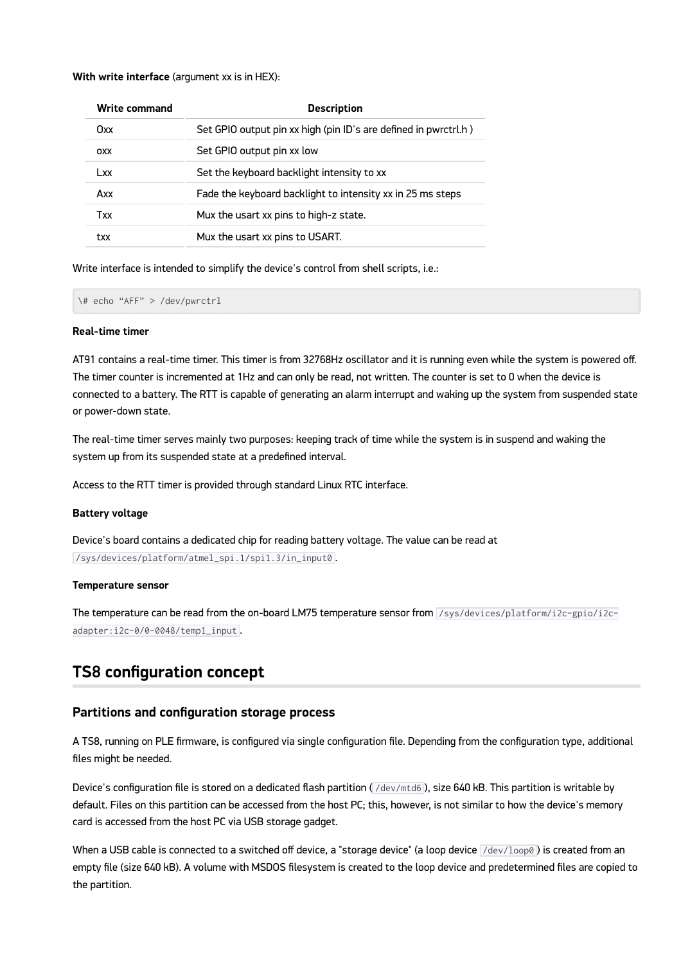#### **With write interface** (argument xx is in HEX):

| Write command | <b>Description</b>                                              |
|---------------|-----------------------------------------------------------------|
| Oxx.          | Set GPIO output pin xx high (pin ID's are defined in pwrctrl.h) |
| <b>OXX</b>    | Set GPIO output pin xx low                                      |
| Lxx.          | Set the keyboard backlight intensity to xx                      |
| Axx           | Fade the keyboard backlight to intensity xx in 25 ms steps      |
| Txx           | Mux the usart xx pins to high-z state.                          |
| txx           | Mux the usart xx pins to USART.                                 |

Write interface is intended to simplify the device's control from shell scripts, i.e.:

\# echo "AFF" > /dev/pwrctrl

#### **Real-time timer**

AT91 contains a real-time timer. This timer is from 32768Hz oscillator and it is running even while the system is powered off. The timer counter is incremented at 1Hz and can only be read, not written. The counter is set to 0 when the device is connected to a battery. The RTT is capable of generating an alarm interrupt and waking up the system from suspended state or power-down state.

The real-time timer serves mainly two purposes: keeping track of time while the system is in suspend and waking the system up from its suspended state at a predefined interval.

Access to the RTT timer is provided through standard Linux RTC interface.

#### **Battery voltage**

Device's board contains a dedicated chip for reading battery voltage. The value can be read at /sys/devices/platform/atmel\_spi.1/spi1.3/in\_input0 .

#### **Temperature sensor**

The temperature can be read from the on-board LM75 temperature sensor from /sys/devices/platform/i2c-gpio/i2cadapter:i2c-0/0-0048/temp1\_input .

## **TS8 configuration concept**

#### **Partitions and configuration storage process**

A TS8, running on PLE firmware, is configured via single configuration file. Depending from the configuration type, additional files might be needed.

Device's configuration file is stored on a dedicated flash partition (/dev/mtd6), size 640 kB. This partition is writable by default. Files on this partition can be accessed from the host PC; this, however, is not similar to how the device's memory card is accessed from the host PC via USB storage gadget.

When a USB cable is connected to a switched off device, a "storage device" (a loop device  $\sqrt{\rm dev/loop0}$ ) is created from an empty file (size 640 kB). A volume with MSDOS filesystem is created to the loop device and predetermined files are copied to the partition.